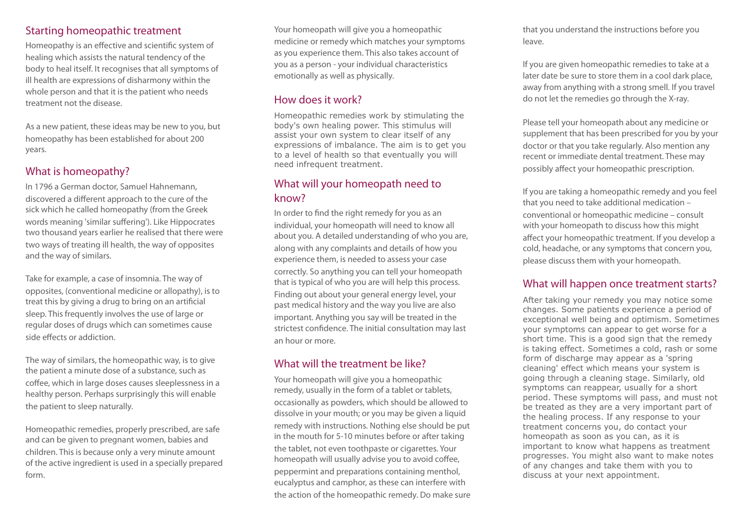#### Starting homeopathic treatment

Homeopathy is an effective and scientific system of healing which assists the natural tendency of the body to heal itself. It recognises that all symptoms of ill health are expressions of disharmony within the whole person and that it is the patient who needs treatment not the disease.

As a new patient, these ideas may be new to you, but homeopathy has been established for about 200 years.

# What is homeopathy?

In 1796 a German doctor, Samuel Hahnemann, discovered a different approach to the cure of the sick which he called homeopathy (from the Greek words meaning 'similar suffering'). Like Hippocrates two thousand years earlier he realised that there were two ways of treating ill health, the way of opposites and the way of similars.

Take for example, a case of insomnia. The way of opposites, (conventional medicine or allopathy), is to treat this by giving a drug to bring on an artificial sleep. This frequently involves the use of large or regular doses of drugs which can sometimes cause side effects or addiction.

The way of similars, the homeopathic way, is to give the patient a minute dose of a substance, such as coffee, which in large doses causes sleeplessness in a healthy person. Perhaps surprisingly this will enable the patient to sleep naturally.

Homeopathic remedies, properly prescribed, are safe and can be given to pregnant women, babies and children. This is because only a very minute amount of the active ingredient is used in a specially prepared form.

Your homeopath will give you a homeopathic medicine or remedy which matches your symptoms as you experience them. This also takes account of you as a person - your individual characteristics emotionally as well as physically.

# How does it work?

Homeopathic remedies work by stimulating the body's own healing power. This stimulus will assist your own system to clear itself of any expressions of imbalance. The aim is to get you to a level of health so that eventually you will need infrequent treatment.

# What will your homeopath need to know?

In order to find the right remedy for you as an individual, your homeopath will need to know all about you. A detailed understanding of who you are, along with any complaints and details of how you experience them, is needed to assess your case correctly. So anything you can tell your homeopath that is typical of who you are will help this process. Finding out about your general energy level, your past medical history and the way you live are also important. Anything you say will be treated in the strictest confidence. The initial consultation may last an hour or more.

# What will the treatment be like?

Your homeopath will give you a homeopathic remedy, usually in the form of a tablet or tablets, occasionally as powders, which should be allowed to dissolve in your mouth; or you may be given a liquid remedy with instructions. Nothing else should be put in the mouth for 5-10 minutes before or after taking the tablet, not even toothpaste or cigarettes. Your homeopath will usually advise you to avoid coffee, peppermint and preparations containing menthol, eucalyptus and camphor, as these can interfere with the action of the homeopathic remedy. Do make sure that you understand the instructions before you leave.

If you are given homeopathic remedies to take at a later date be sure to store them in a cool dark place, away from anything with a strong smell. If you travel do not let the remedies go through the X-ray.

Please tell your homeopath about any medicine or supplement that has been prescribed for you by your doctor or that you take regularly. Also mention any recent or immediate dental treatment. These may possibly affect your homeopathic prescription.

If you are taking a homeopathic remedy and you feel that you need to take additional medication – conventional or homeopathic medicine – consult with your homeopath to discuss how this might affect your homeopathic treatment. If you develop a cold, headache, or any symptoms that concern you, please discuss them with your homeopath.

#### What will happen once treatment starts?

After taking your remedy you may notice some changes. Some patients experience a period of exceptional well being and optimism. Sometimes your symptoms can appear to get worse for a short time. This is a good sign that the remedy is taking effect. Sometimes a cold, rash or some form of discharge may appear as a 'spring cleaning' effect which means your system is going through a cleaning stage. Similarly, old symptoms can reappear, usually for a short period. These symptoms will pass, and must not be treated as they are a very important part of the healing process. If any response to your treatment concerns you, do contact your homeopath as soon as you can, as it is important to know what happens as treatment progresses. You might also want to make notes of any changes and take them with you to discuss at your next appointment.